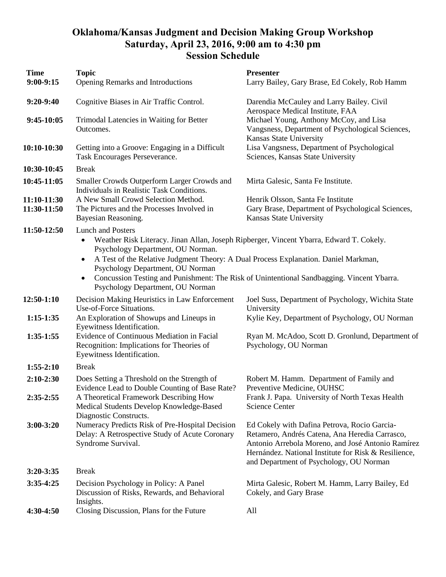## **Oklahoma/Kansas Judgment and Decision Making Group Workshop Saturday, April 23, 2016, 9:00 am to 4:30 pm Session Schedule**

| <b>Time</b><br>$9:00-9:15$ | <b>Topic</b><br>Opening Remarks and Introductions                                                                                                                                                                                                                                                                                                                                                                                                           | <b>Presenter</b><br>Larry Bailey, Gary Brase, Ed Cokely, Rob Hamm                                                                                                                                                                                      |
|----------------------------|-------------------------------------------------------------------------------------------------------------------------------------------------------------------------------------------------------------------------------------------------------------------------------------------------------------------------------------------------------------------------------------------------------------------------------------------------------------|--------------------------------------------------------------------------------------------------------------------------------------------------------------------------------------------------------------------------------------------------------|
|                            |                                                                                                                                                                                                                                                                                                                                                                                                                                                             |                                                                                                                                                                                                                                                        |
| $9:20-9:40$                | Cognitive Biases in Air Traffic Control.                                                                                                                                                                                                                                                                                                                                                                                                                    | Darendia McCauley and Larry Bailey. Civil<br>Aerospace Medical Institute, FAA                                                                                                                                                                          |
| $9:45-10:05$               | Trimodal Latencies in Waiting for Better<br>Outcomes.                                                                                                                                                                                                                                                                                                                                                                                                       | Michael Young, Anthony McCoy, and Lisa<br>Vangsness, Department of Psychological Sciences,<br>Kansas State University                                                                                                                                  |
| 10:10-10:30                | Getting into a Groove: Engaging in a Difficult<br>Task Encourages Perseverance.                                                                                                                                                                                                                                                                                                                                                                             | Lisa Vangsness, Department of Psychological<br>Sciences, Kansas State University                                                                                                                                                                       |
| 10:30-10:45                | <b>Break</b>                                                                                                                                                                                                                                                                                                                                                                                                                                                |                                                                                                                                                                                                                                                        |
| 10:45-11:05                | Smaller Crowds Outperform Larger Crowds and<br>Individuals in Realistic Task Conditions.                                                                                                                                                                                                                                                                                                                                                                    | Mirta Galesic, Santa Fe Institute.                                                                                                                                                                                                                     |
| 11:10-11:30<br>11:30-11:50 | A New Small Crowd Selection Method.<br>The Pictures and the Processes Involved in<br>Bayesian Reasoning.                                                                                                                                                                                                                                                                                                                                                    | Henrik Olsson, Santa Fe Institute<br>Gary Brase, Department of Psychological Sciences,<br>Kansas State University                                                                                                                                      |
| 11:50-12:50                | <b>Lunch and Posters</b><br>Weather Risk Literacy. Jinan Allan, Joseph Ripberger, Vincent Ybarra, Edward T. Cokely.<br>$\bullet$<br>Psychology Department, OU Norman.<br>A Test of the Relative Judgment Theory: A Dual Process Explanation. Daniel Markman,<br>$\bullet$<br>Psychology Department, OU Norman<br>Concussion Testing and Punishment: The Risk of Unintentional Sandbagging. Vincent Ybarra.<br>$\bullet$<br>Psychology Department, OU Norman |                                                                                                                                                                                                                                                        |
| 12:50-1:10                 | Decision Making Heuristics in Law Enforcement<br>Use-of-Force Situations.                                                                                                                                                                                                                                                                                                                                                                                   | Joel Suss, Department of Psychology, Wichita State<br>University                                                                                                                                                                                       |
| $1:15-1:35$                | An Exploration of Showups and Lineups in<br>Eyewitness Identification.                                                                                                                                                                                                                                                                                                                                                                                      | Kylie Key, Department of Psychology, OU Norman                                                                                                                                                                                                         |
| $1:35-1:55$                | Evidence of Continuous Mediation in Facial<br>Recognition: Implications for Theories of<br>Eyewitness Identification.                                                                                                                                                                                                                                                                                                                                       | Ryan M. McAdoo, Scott D. Gronlund, Department of<br>Psychology, OU Norman                                                                                                                                                                              |
| $1:55-2:10$                | <b>Break</b>                                                                                                                                                                                                                                                                                                                                                                                                                                                |                                                                                                                                                                                                                                                        |
| $2:10-2:30$                | Does Setting a Threshold on the Strength of<br>Evidence Lead to Double Counting of Base Rate?                                                                                                                                                                                                                                                                                                                                                               | Robert M. Hamm. Department of Family and<br>Preventive Medicine, OUHSC                                                                                                                                                                                 |
| 2:35-2:55                  | A Theoretical Framework Describing How<br>Medical Students Develop Knowledge-Based<br>Diagnostic Constructs.                                                                                                                                                                                                                                                                                                                                                | Frank J. Papa. University of North Texas Health<br><b>Science Center</b>                                                                                                                                                                               |
| 3:00-3:20                  | Numeracy Predicts Risk of Pre-Hospital Decision<br>Delay: A Retrospective Study of Acute Coronary<br>Syndrome Survival.                                                                                                                                                                                                                                                                                                                                     | Ed Cokely with Dafina Petrova, Rocio Garcia-<br>Retamero, Andrés Catena, Ana Heredia Carrasco,<br>Antonio Arrebola Moreno, and José Antonio Ramírez<br>Hernández. National Institute for Risk & Resilience,<br>and Department of Psychology, OU Norman |
| $3:20 - 3:35$              | <b>Break</b>                                                                                                                                                                                                                                                                                                                                                                                                                                                |                                                                                                                                                                                                                                                        |
| $3:35-4:25$                | Decision Psychology in Policy: A Panel<br>Discussion of Risks, Rewards, and Behavioral<br>Insights.                                                                                                                                                                                                                                                                                                                                                         | Mirta Galesic, Robert M. Hamm, Larry Bailey, Ed<br>Cokely, and Gary Brase                                                                                                                                                                              |
| 4:30-4:50                  | Closing Discussion, Plans for the Future                                                                                                                                                                                                                                                                                                                                                                                                                    | All                                                                                                                                                                                                                                                    |